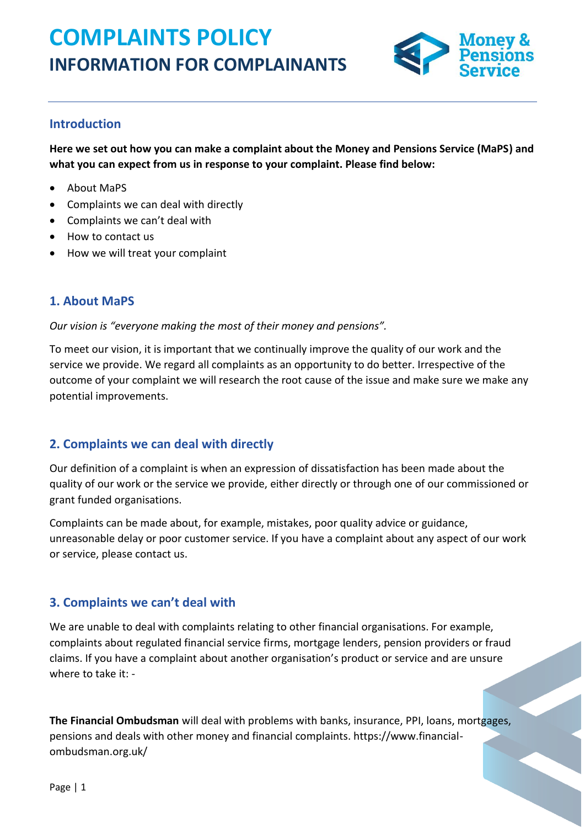# **COMPLAINTS POLICY INFORMATION FOR COMPLAINANTS**



### **Introduction**

**Here we set out how you can make a complaint about the Money and Pensions Service (MaPS) and what you can expect from us in response to your complaint. Please find below:** 

- About MaPS
- Complaints we can deal with directly
- Complaints we can't deal with
- How to contact us
- How we will treat your complaint

#### **1. About MaPS**

*Our vision is "everyone making the most of their money and pensions".* 

To meet our vision, it is important that we continually improve the quality of our work and the service we provide. We regard all complaints as an opportunity to do better. Irrespective of the outcome of your complaint we will research the root cause of the issue and make sure we make any potential improvements.

## **2. Complaints we can deal with directly**

Our definition of a complaint is when an expression of dissatisfaction has been made about the quality of our work or the service we provide, either directly or through one of our commissioned or grant funded organisations.

Complaints can be made about, for example, mistakes, poor quality advice or guidance, unreasonable delay or poor customer service. If you have a complaint about any aspect of our work or service, please contact us.

## **3. Complaints we can't deal with**

We are unable to deal with complaints relating to other financial organisations. For example, complaints about regulated financial service firms, mortgage lenders, pension providers or fraud claims. If you have a complaint about another organisation's product or service and are unsure where to take it: -

**The Financial Ombudsman** will deal with problems with banks, insurance, PPI, loans, mortgages, pensions and deals with other money and financial complaints. https://www.financialombudsman.org.uk/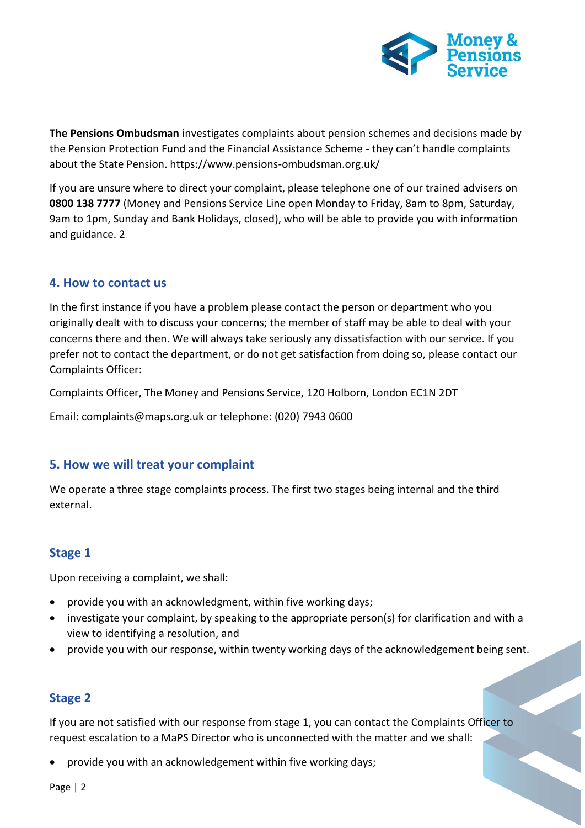

**The Pensions Ombudsman** investigates complaints about pension schemes and decisions made by the Pension Protection Fund and the Financial Assistance Scheme - they can't handle complaints about the State Pension. https://www.pensions-ombudsman.org.uk/

If you are unsure where to direct your complaint, please telephone one of our trained advisers on **0800 138 7777** (Money and Pensions Service Line open Monday to Friday, 8am to 8pm, Saturday, 9am to 1pm, Sunday and Bank Holidays, closed), who will be able to provide you with information and guidance. 2

#### **4. How to contact us**

In the first instance if you have a problem please contact the person or department who you originally dealt with to discuss your concerns; the member of staff may be able to deal with your concerns there and then. We will always take seriously any dissatisfaction with our service. If you prefer not to contact the department, or do not get satisfaction from doing so, please contact our Complaints Officer:

Complaints Officer, The Money and Pensions Service, 120 Holborn, London EC1N 2DT

Email: complaints@maps.org.uk or telephone: (020) 7943 0600

#### **5. How we will treat your complaint**

We operate a three stage complaints process. The first two stages being internal and the third external.

## **Stage 1**

Upon receiving a complaint, we shall:

- provide you with an acknowledgment, within five working days;
- investigate your complaint, by speaking to the appropriate person(s) for clarification and with a view to identifying a resolution, and
- provide you with our response, within twenty working days of the acknowledgement being sent.

## **Stage 2**

If you are not satisfied with our response from stage 1, you can contact the Complaints Officer to request escalation to a MaPS Director who is unconnected with the matter and we shall:

• provide you with an acknowledgement within five working days;